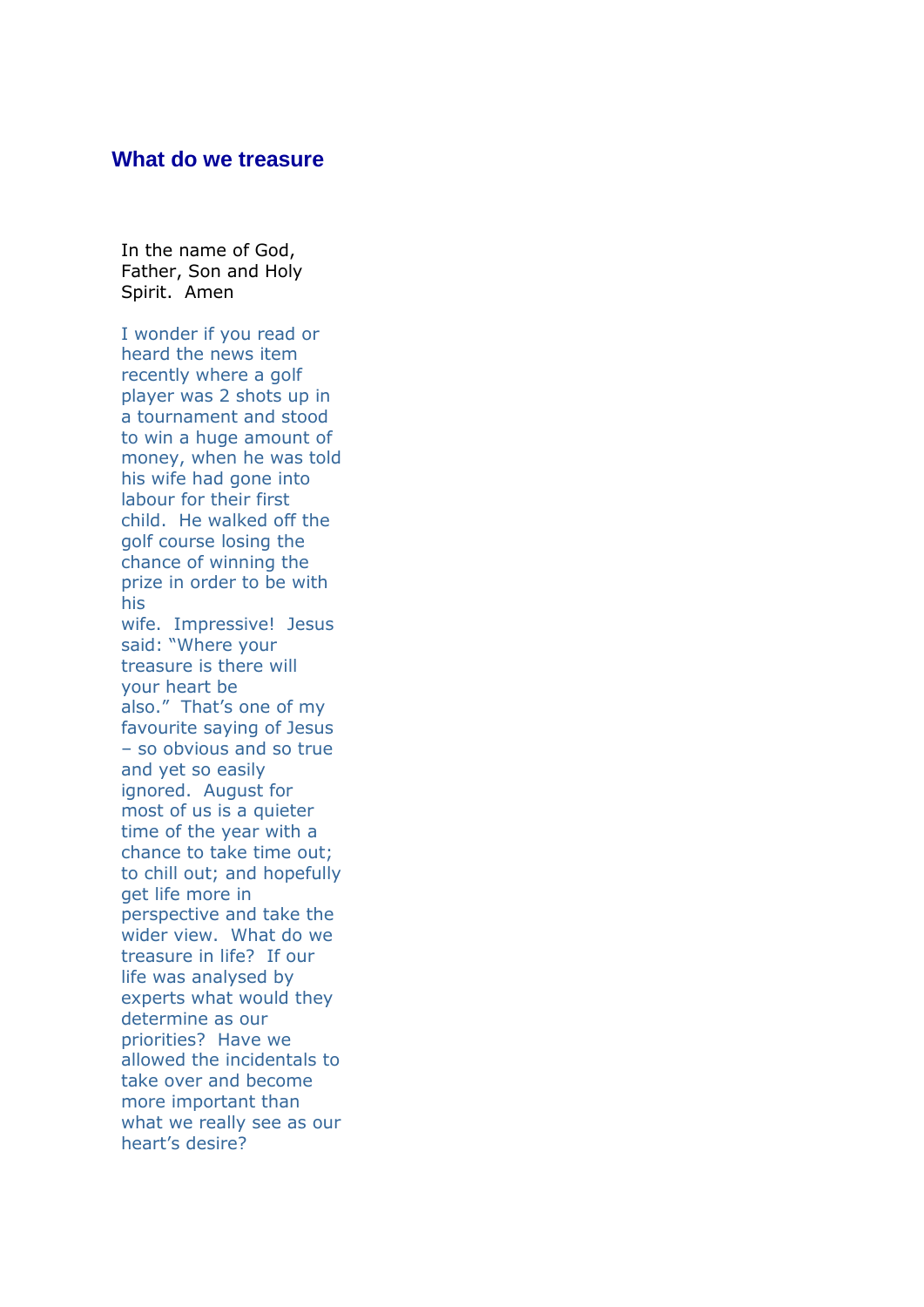## **What do we treasure**

In the name of God, Father, Son and Holy Spirit. Amen

I wonder if you read or heard the news item recently where a golf player was 2 shots up in a tournament and stood to win a huge amount of money, when he was told his wife had gone into labour for their first child. He walked off the golf course losing the chance of winning the prize in order to be with his wife. Impressive! Jesus said: "Where your treasure is there will your heart be also." That's one of my favourite saying of Jesus – so obvious and so true and yet so easily ignored. August for most of us is a quieter time of the year with a chance to take time out; to chill out; and hopefully get life more in perspective and take the wider view. What do we treasure in life? If our life was analysed by experts what would they determine as our priorities? Have we allowed the incidentals to take over and become more important than what we really see as our heart's desire?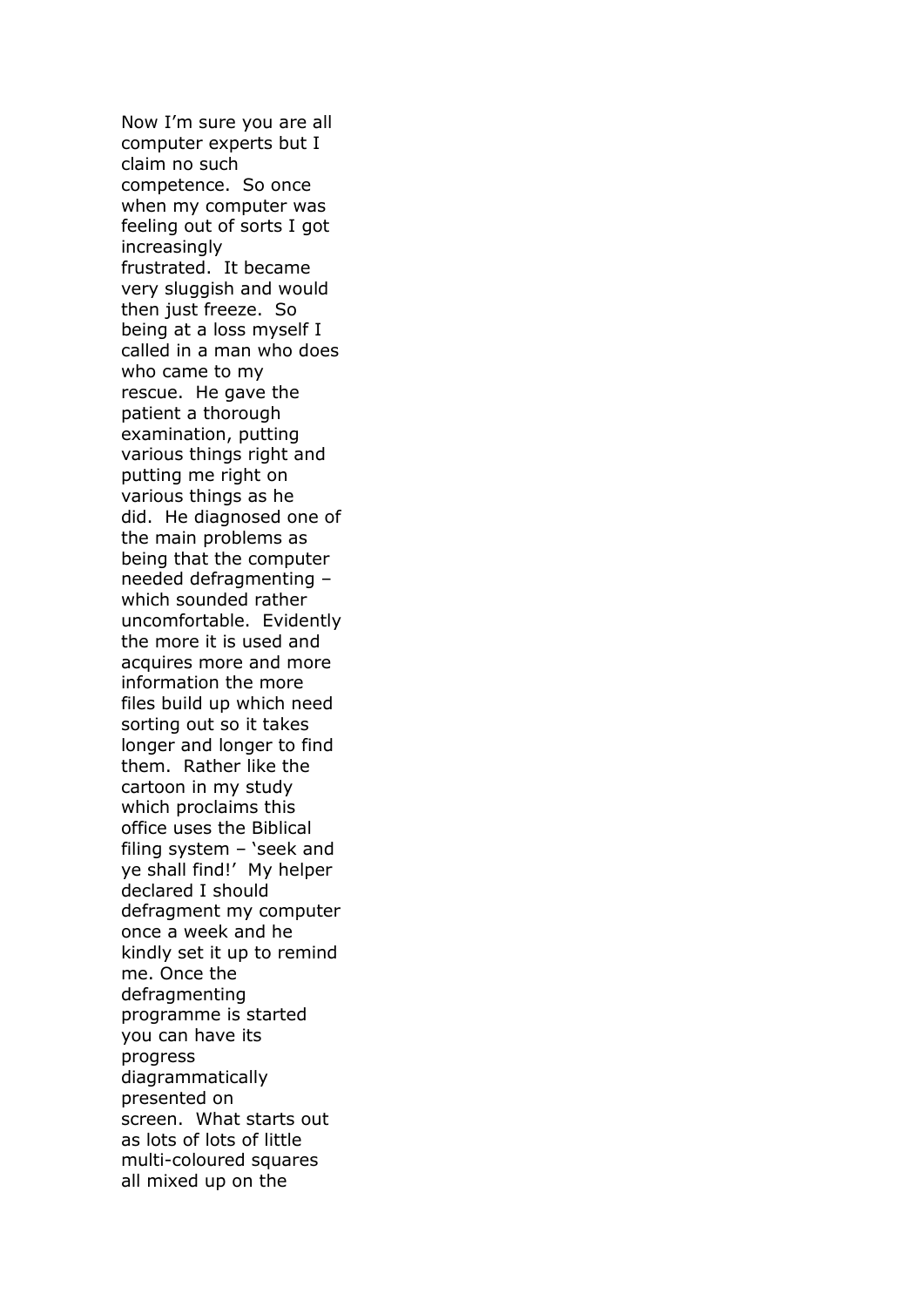Now I'm sure you are all computer experts but I claim no such competence. So once when my computer was feeling out of sorts I got increasingly frustrated. It became very sluggish and would then just freeze. So being at a loss myself I called in a man who does who came to my rescue. He gave the patient a thorough examination, putting various things right and putting me right on various things as he did. He diagnosed one of the main problems as being that the computer needed defragmenting – which sounded rather uncomfortable. Evidently the more it is used and acquires more and more information the more files build up which need sorting out so it takes longer and longer to find them. Rather like the cartoon in my study which proclaims this office uses the Biblical filing system – 'seek and ye shall find!' My helper declared I should defragment my computer once a week and he kindly set it up to remind me. Once the defragmenting programme is started you can have its progress diagrammatically presented on screen. What starts out as lots of lots of little multi-coloured squares all mixed up on the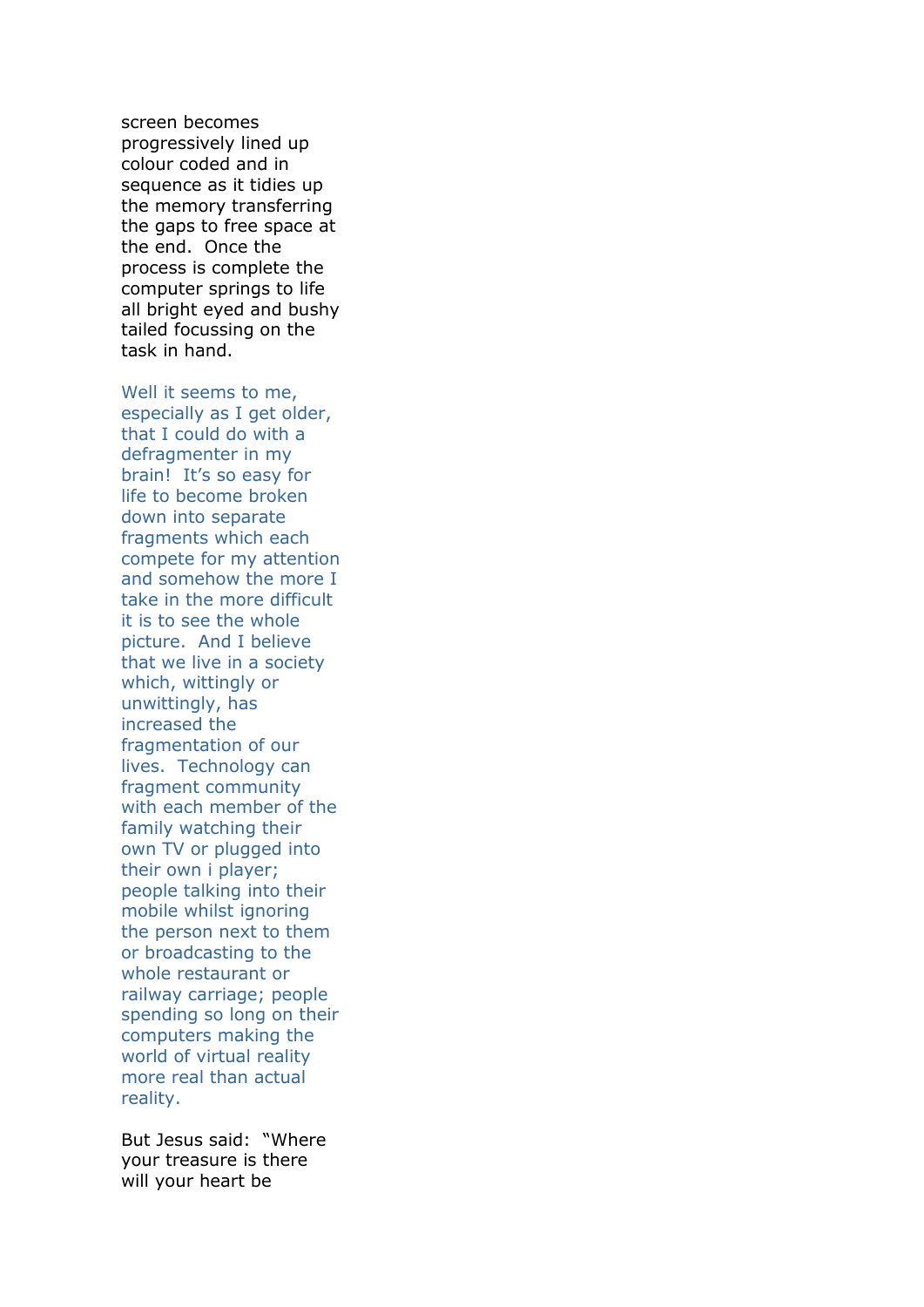screen becomes progressively lined up colour coded and in sequence as it tidies up the memory transferring the gaps to free space at the end. Once the process is complete the computer springs to life all bright eyed and bushy tailed focussing on the task in hand.

Well it seems to me, especially as I get older, that I could do with a defragmenter in my brain! It's so easy for life to become broken down into separate fragments which each compete for my attention and somehow the more I take in the more difficult it is to see the whole picture. And I believe that we live in a society which, wittingly or unwittingly, has increased the fragmentation of our lives. Technology can fragment community with each member of the family watching their own TV or plugged into their own i player; people talking into their mobile whilst ignoring the person next to them or broadcasting to the whole restaurant or railway carriage; people spending so long on their computers making the world of virtual reality more real than actual reality.

But Jesus said: "Where your treasure is there will your heart be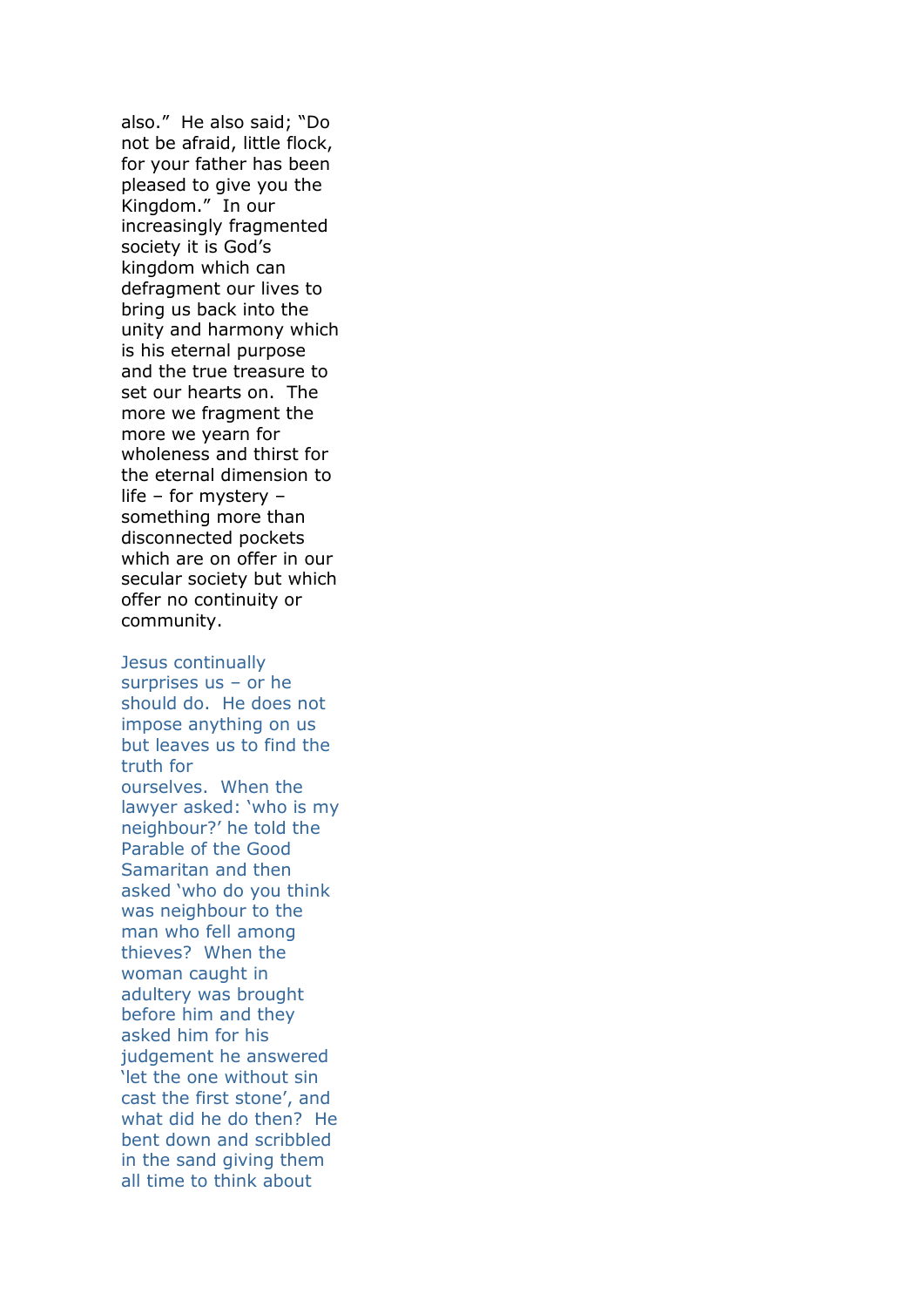also." He also said; "Do not be afraid, little flock, for your father has been pleased to give you the Kingdom." In our increasingly fragmented society it is God's kingdom which can defragment our lives to bring us back into the unity and harmony which is his eternal purpose and the true treasure to set our hearts on. The more we fragment the more we yearn for wholeness and thirst for the eternal dimension to life – for mystery – something more than disconnected pockets which are on offer in our secular society but which offer no continuity or community.

Jesus continually surprises us – or he should do. He does not impose anything on us but leaves us to find the truth for ourselves. When the lawyer asked: 'who is my neighbour?' he told the Parable of the Good Samaritan and then asked 'who do you think was neighbour to the man who fell among thieves? When the woman caught in adultery was brought before him and they asked him for his judgement he answered 'let the one without sin cast the first stone', and what did he do then? He bent down and scribbled in the sand giving them all time to think about